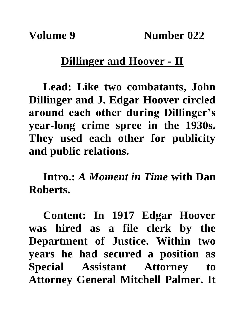## **Dillinger and Hoover - II**

**Lead: Like two combatants, John Dillinger and J. Edgar Hoover circled around each other during Dillinger's year-long crime spree in the 1930s. They used each other for publicity and public relations.**

**Intro.:** *A Moment in Time* **with Dan Roberts.**

**Content: In 1917 Edgar Hoover was hired as a file clerk by the Department of Justice. Within two years he had secured a position as Special Assistant Attorney to Attorney General Mitchell Palmer. It**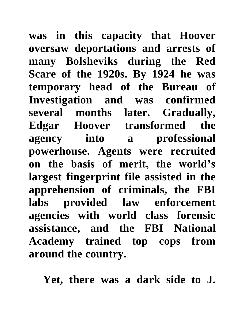**was in this capacity that Hoover oversaw deportations and arrests of many Bolsheviks during the Red Scare of the 1920s. By 1924 he was temporary head of the Bureau of Investigation and was confirmed several months later. Gradually, Edgar Hoover transformed the agency into a professional powerhouse. Agents were recruited on the basis of merit, the world's largest fingerprint file assisted in the apprehension of criminals, the FBI labs provided law enforcement agencies with world class forensic assistance, and the FBI National Academy trained top cops from around the country.**

**Yet, there was a dark side to J.**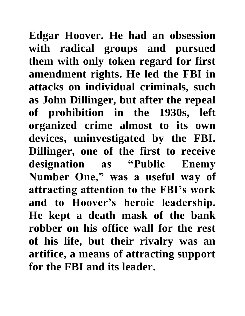**Edgar Hoover. He had an obsession with radical groups and pursued them with only token regard for first amendment rights. He led the FBI in attacks on individual criminals, such as John Dillinger, but after the repeal of prohibition in the 1930s, left organized crime almost to its own devices, uninvestigated by the FBI. Dillinger, one of the first to receive designation as "Public Enemy Number One," was a useful way of attracting attention to the FBI's work and to Hoover's heroic leadership. He kept a death mask of the bank robber on his office wall for the rest of his life, but their rivalry was an artifice, a means of attracting support for the FBI and its leader.**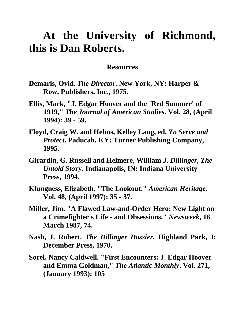## **At the University of Richmond, this is Dan Roberts.**

## **Resources**

- **Demaris, Ovid.** *The Director***. New York, NY: Harper & Row, Publishers, Inc., 1975.**
- **Ellis, Mark, "J. Edgar Hoover and the `Red Summer' of 1919,"** *The Journal of American Studies***. Vol. 28, (April 1994): 39 - 59.**
- **Floyd, Craig W. and Helms, Kelley Lang, ed.** *To Serve and Protect***. Paducah, KY: Turner Publishing Company, 1995.**
- **Girardin, G. Russell and Helmere, William J.** *Dillinger, The Untold Sto***ry. Indianapolis, IN: Indiana University Press, 1994.**
- **Klungness, Elizabeth. "The Lookout."** *American Heritage***. Vol. 48, (April 1997): 35 - 37.**
- **Miller, Jim. "A Flawed Law-and-Order Hero: New Light on a Crimefighter's Life - and Obsessions,"** *Newsweek***, 16 March 1987, 74.**
- **Nash, J. Robert.** *The Dillinger Dossier***. Highland Park, I: December Press, 1970.**
- **Sorel, Nancy Caldwell. "First Encounters: J. Edgar Hoover and Emma Goldman,"** *The Atlantic Monthly***. Vol. 271, (January 1993): 105**